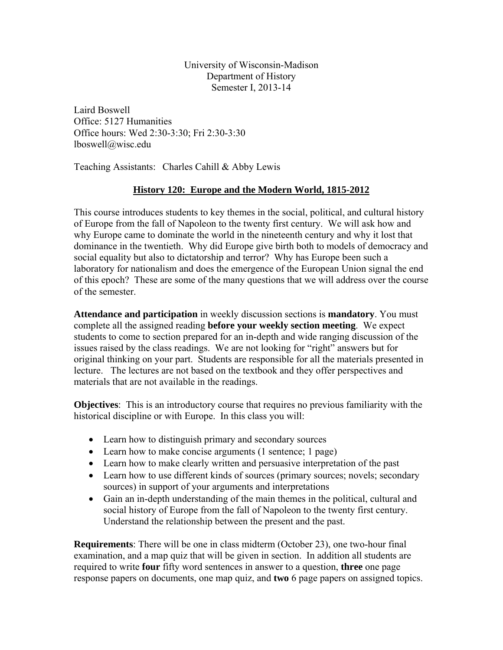University of Wisconsin-Madison Department of History Semester I, 2013-14

Laird Boswell Office: 5127 Humanities Office hours: Wed 2:30-3:30; Fri 2:30-3:30 lboswell@wisc.edu

Teaching Assistants: Charles Cahill & Abby Lewis

# **History 120: Europe and the Modern World, 1815-2012**

This course introduces students to key themes in the social, political, and cultural history of Europe from the fall of Napoleon to the twenty first century. We will ask how and why Europe came to dominate the world in the nineteenth century and why it lost that dominance in the twentieth. Why did Europe give birth both to models of democracy and social equality but also to dictatorship and terror? Why has Europe been such a laboratory for nationalism and does the emergence of the European Union signal the end of this epoch? These are some of the many questions that we will address over the course of the semester.

**Attendance and participation** in weekly discussion sections is **mandatory**. You must complete all the assigned reading **before your weekly section meeting**. We expect students to come to section prepared for an in-depth and wide ranging discussion of the issues raised by the class readings. We are not looking for "right" answers but for original thinking on your part. Students are responsible for all the materials presented in lecture. The lectures are not based on the textbook and they offer perspectives and materials that are not available in the readings.

**Objectives**: This is an introductory course that requires no previous familiarity with the historical discipline or with Europe. In this class you will:

- Learn how to distinguish primary and secondary sources
- Learn how to make concise arguments (1 sentence; 1 page)
- Learn how to make clearly written and persuasive interpretation of the past
- Learn how to use different kinds of sources (primary sources; novels; secondary sources) in support of your arguments and interpretations
- Gain an in-depth understanding of the main themes in the political, cultural and social history of Europe from the fall of Napoleon to the twenty first century. Understand the relationship between the present and the past.

**Requirements**: There will be one in class midterm (October 23), one two-hour final examination, and a map quiz that will be given in section. In addition all students are required to write **four** fifty word sentences in answer to a question, **three** one page response papers on documents, one map quiz, and **two** 6 page papers on assigned topics.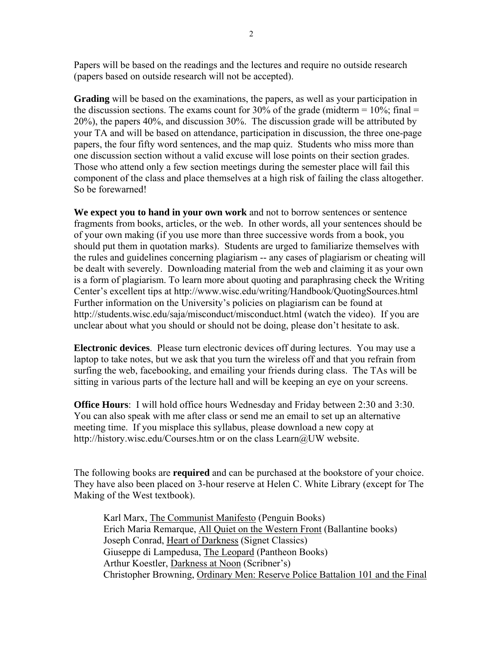Papers will be based on the readings and the lectures and require no outside research (papers based on outside research will not be accepted).

**Grading** will be based on the examinations, the papers, as well as your participation in the discussion sections. The exams count for 30% of the grade (midterm  $= 10\%$ ; final  $=$ 20%), the papers 40%, and discussion 30%. The discussion grade will be attributed by your TA and will be based on attendance, participation in discussion, the three one-page papers, the four fifty word sentences, and the map quiz. Students who miss more than one discussion section without a valid excuse will lose points on their section grades. Those who attend only a few section meetings during the semester place will fail this component of the class and place themselves at a high risk of failing the class altogether. So be forewarned!

**We expect you to hand in your own work** and not to borrow sentences or sentence fragments from books, articles, or the web. In other words, all your sentences should be of your own making (if you use more than three successive words from a book, you should put them in quotation marks). Students are urged to familiarize themselves with the rules and guidelines concerning plagiarism -- any cases of plagiarism or cheating will be dealt with severely. Downloading material from the web and claiming it as your own is a form of plagiarism. To learn more about quoting and paraphrasing check the Writing Center's excellent tips at http://www.wisc.edu/writing/Handbook/QuotingSources.html Further information on the University's policies on plagiarism can be found at http://students.wisc.edu/saja/misconduct/misconduct.html (watch the video). If you are unclear about what you should or should not be doing, please don't hesitate to ask.

**Electronic devices**. Please turn electronic devices off during lectures. You may use a laptop to take notes, but we ask that you turn the wireless off and that you refrain from surfing the web, facebooking, and emailing your friends during class. The TAs will be sitting in various parts of the lecture hall and will be keeping an eye on your screens.

**Office Hours**: I will hold office hours Wednesday and Friday between 2:30 and 3:30. You can also speak with me after class or send me an email to set up an alternative meeting time. If you misplace this syllabus, please download a new copy at http://history.wisc.edu/Courses.htm or on the class Learn@UW website.

The following books are **required** and can be purchased at the bookstore of your choice. They have also been placed on 3-hour reserve at Helen C. White Library (except for The Making of the West textbook).

Karl Marx, The Communist Manifesto (Penguin Books) Erich Maria Remarque, All Quiet on the Western Front (Ballantine books) Joseph Conrad, Heart of Darkness (Signet Classics) Giuseppe di Lampedusa, The Leopard (Pantheon Books) Arthur Koestler, Darkness at Noon (Scribner's) Christopher Browning, Ordinary Men: Reserve Police Battalion 101 and the Final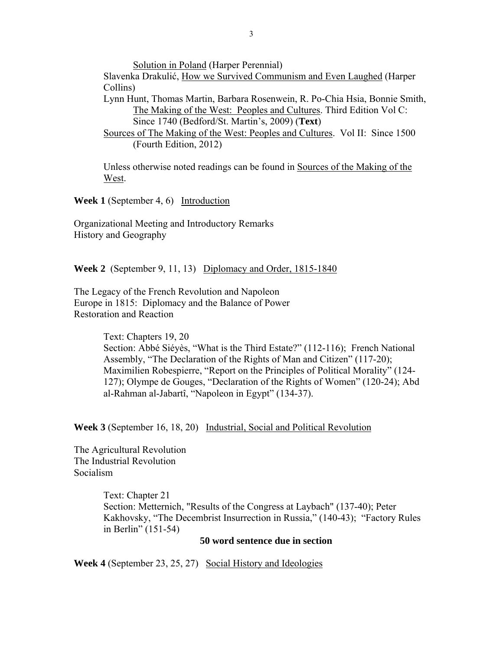Solution in Poland (Harper Perennial)

Slavenka Drakulić, How we Survived Communism and Even Laughed (Harper Collins)

Lynn Hunt, Thomas Martin, Barbara Rosenwein, R. Po-Chia Hsia, Bonnie Smith, The Making of the West: Peoples and Cultures. Third Edition Vol C: Since 1740 (Bedford/St. Martin's, 2009) (**Text**)

Sources of The Making of the West: Peoples and Cultures. Vol II: Since 1500 (Fourth Edition, 2012)

Unless otherwise noted readings can be found in Sources of the Making of the West.

**Week 1** (September 4, 6) Introduction

Organizational Meeting and Introductory Remarks History and Geography

# **Week 2** (September 9, 11, 13) Diplomacy and Order, 1815-1840

The Legacy of the French Revolution and Napoleon Europe in 1815: Diplomacy and the Balance of Power Restoration and Reaction

> Text: Chapters 19, 20 Section: Abbé Siéyès, "What is the Third Estate?" (112-116); French National Assembly, "The Declaration of the Rights of Man and Citizen" (117-20); Maximilien Robespierre, "Report on the Principles of Political Morality" (124- 127); Olympe de Gouges, "Declaration of the Rights of Women" (120-24); Abd al-Rahman al-Jabartî, "Napoleon in Egypt" (134-37).

**Week 3** (September 16, 18, 20) Industrial, Social and Political Revolution

The Agricultural Revolution The Industrial Revolution Socialism

> Text: Chapter 21 Section: Metternich, "Results of the Congress at Laybach" (137-40); Peter Kakhovsky, "The Decembrist Insurrection in Russia," (140-43); "Factory Rules in Berlin" (151-54)

### **50 word sentence due in section**

**Week 4** (September 23, 25, 27) Social History and Ideologies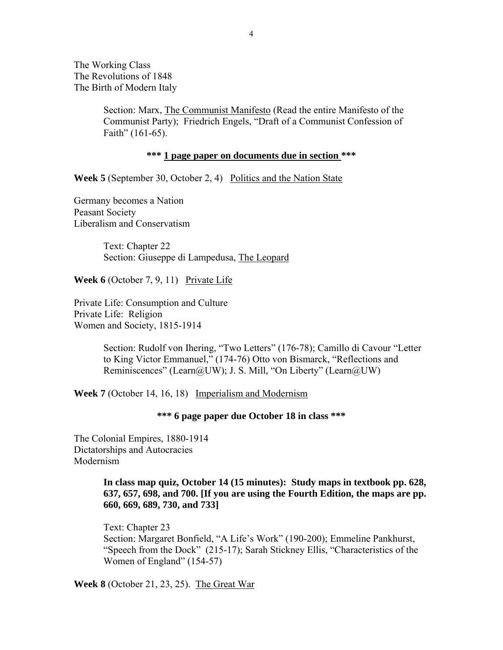The Working Class The Revolutions of 1848 The Birth of Modern Italy

> Section: Marx, The Communist Manifesto (Read the entire Manifesto of the Communist Party); Friedrich Engels, "Draft of a Communist Confession of Faith" (161-65).

### **\*\*\* 1 page paper on documents due in section \*\*\***

**Week 5** (September 30, October 2, 4) Politics and the Nation State

Germany becomes a Nation Peasant Society Liberalism and Conservatism

> Text: Chapter 22 Section: Giuseppe di Lampedusa, The Leopard

**Week 6** (October 7, 9, 11) Private Life

Private Life: Consumption and Culture Private Life: Religion Women and Society, 1815-1914

> Section: Rudolf von Ihering, "Two Letters" (176-78); Camillo di Cavour "Letter to King Victor Emmanuel," (174-76) Otto von Bismarck, "Reflections and Reminiscences" (Learn@UW); J. S. Mill, "On Liberty" (Learn@UW)

**Week 7** (October 14, 16, 18) Imperialism and Modernism

**\*\*\* 6 page paper due October 18 in class \*\*\*** 

The Colonial Empires, 1880-1914 Dictatorships and Autocracies Modernism

> **In class map quiz, October 14 (15 minutes): Study maps in textbook pp. 628, 637, 657, 698, and 700. [If you are using the Fourth Edition, the maps are pp. 660, 669, 689, 730, and 733]**

Text: Chapter 23 Section: Margaret Bonfield, "A Life's Work" (190-200); Emmeline Pankhurst, "Speech from the Dock" (215-17); Sarah Stickney Ellis, "Characteristics of the Women of England" (154-57)

**Week 8** (October 21, 23, 25). The Great War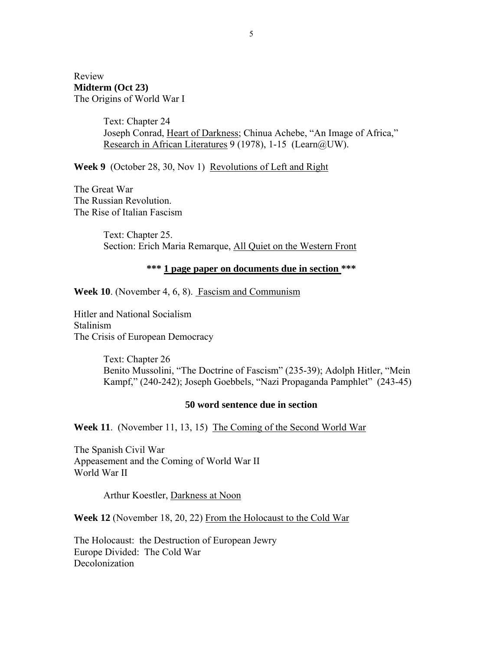# Review **Midterm (Oct 23)**  The Origins of World War I

Text: Chapter 24 Joseph Conrad, Heart of Darkness; Chinua Achebe, "An Image of Africa," Research in African Literatures 9 (1978), 1-15 (Learn@UW).

**Week 9** (October 28, 30, Nov 1) Revolutions of Left and Right

The Great War The Russian Revolution. The Rise of Italian Fascism

> Text: Chapter 25. Section: Erich Maria Remarque, All Quiet on the Western Front

# **\*\*\* 1 page paper on documents due in section \*\*\***

Week 10. (November 4, 6, 8). Fascism and Communism

Hitler and National Socialism Stalinism The Crisis of European Democracy

> Text: Chapter 26 Benito Mussolini, "The Doctrine of Fascism" (235-39); Adolph Hitler, "Mein Kampf," (240-242); Joseph Goebbels, "Nazi Propaganda Pamphlet" (243-45)

#### **50 word sentence due in section**

**Week 11**. (November 11, 13, 15) The Coming of the Second World War

The Spanish Civil War Appeasement and the Coming of World War II World War II

Arthur Koestler, Darkness at Noon

**Week 12** (November 18, 20, 22) From the Holocaust to the Cold War

The Holocaust: the Destruction of European Jewry Europe Divided: The Cold War Decolonization